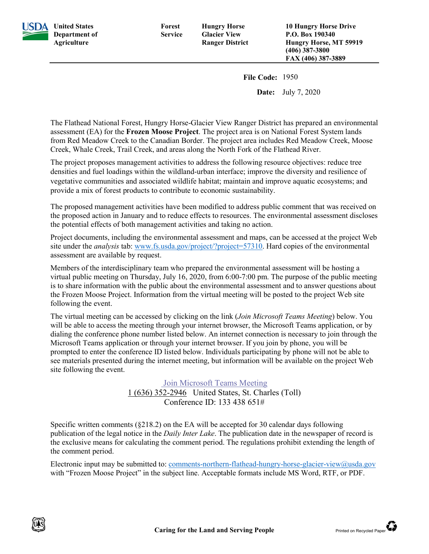

**SDA** United States **Department of Agriculture**

**Forest Service**

**File Code:** 1950

**Date:** July 7, 2020

The Flathead National Forest, Hungry Horse-Glacier View Ranger District has prepared an environmental assessment (EA) for the **Frozen Moose Project**. The project area is on National Forest System lands from Red Meadow Creek to the Canadian Border. The project area includes Red Meadow Creek, Moose Creek, Whale Creek, Trail Creek, and areas along the North Fork of the Flathead River.

The project proposes management activities to address the following resource objectives: reduce tree densities and fuel loadings within the wildland-urban interface; improve the diversity and resilience of vegetative communities and associated wildlife habitat; maintain and improve aquatic ecosystems; and provide a mix of forest products to contribute to economic sustainability.

The proposed management activities have been modified to address public comment that was received on the proposed action in January and to reduce effects to resources. The environmental assessment discloses the potential effects of both management activities and taking no action.

Project documents, including the environmental assessment and maps, can be accessed at the project Web site under the *analysis* tab: [www.fs.usda.gov/project/?project=57310.](http://www.fs.usda.gov/project/?project=57310) Hard copies of the environmental assessment are available by request.

Members of the interdisciplinary team who prepared the environmental assessment will be hosting a virtual public meeting on Thursday, July 16, 2020, from 6:00-7:00 pm. The purpose of the public meeting is to share information with the public about the environmental assessment and to answer questions about the Frozen Moose Project. Information from the virtual meeting will be posted to the project Web site following the event.

The virtual meeting can be accessed by clicking on the link (*Join Microsoft Teams Meeting*) below. You will be able to access the meeting through your internet browser, the Microsoft Teams application, or by dialing the conference phone number listed below. An internet connection is necessary to join through the Microsoft Teams application or through your internet browser. If you join by phone, you will be prompted to enter the conference ID listed below. Individuals participating by phone will not be able to see materials presented during the internet meeting, but information will be available on the project Web site following the event.

> [Join Microsoft Teams Meeting](https://gcc02.safelinks.protection.outlook.com/ap/t-59584e83/?url=https%3A%2F%2Fteams.microsoft.com%2Fl%2Fmeetup-join%2F19%253ameeting_ZWJkODAwZWMtMWVjMy00MzE0LWEzMzctNWUxODZhOTFmMmI4%2540thread.v2%2F0%3Fcontext%3D%257b%2522Tid%2522%253a%2522ed5b36e7-01ee-4ebc-867e-e03cfa0d4697%2522%252c%2522Oid%2522%253a%2522f469e3db-f881-4d39-a95e-cb6c5099408f%2522%257d&data=02%7C01%7C%7Caa51b8ab0d3741a6f5c808d81dc8edb4%7Ced5b36e701ee4ebc867ee03cfa0d4697%7C0%7C0%7C637292096110561824&sdata=sRVf8P3qr2rbNy34TVPETMQ0u2DuZmuW3HXhvMHPV1E%3D&reserved=0) [1 \(636\) 352-2946](tel:+1%20636-352-2946,,133438651#%20) United States, St. Charles (Toll) Conference ID: 133 438 651#

Specific written comments (§218.2) on the EA will be accepted for 30 calendar days following publication of the legal notice in the *Daily Inter Lake*. The publication date in the newspaper of record is the exclusive means for calculating the comment period. The regulations prohibit extending the length of the comment period.

Electronic input may be submitted to[: comments-northern-flathead-hungry-horse-glacier-view@usda.gov](mailto:comments-northern-flathead-hungry-horse-glacier-view@usda.gov) with "Frozen Moose Project" in the subject line. Acceptable formats include MS Word, RTF, or PDF.